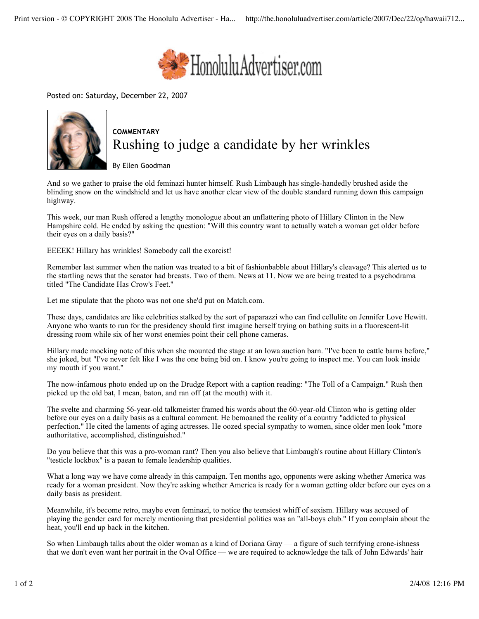

Posted on: Saturday, December 22, 2007



## **COMMENTARY** Rushing to judge a candidate by her wrinkles

By Ellen Goodman

And so we gather to praise the old feminazi hunter himself. Rush Limbaugh has single-handedly brushed aside the blinding snow on the windshield and let us have another clear view of the double standard running down this campaign highway.

This week, our man Rush offered a lengthy monologue about an unflattering photo of Hillary Clinton in the New Hampshire cold. He ended by asking the question: "Will this country want to actually watch a woman get older before their eyes on a daily basis?"

EEEEK! Hillary has wrinkles! Somebody call the exorcist!

Remember last summer when the nation was treated to a bit of fashionbabble about Hillary's cleavage? This alerted us to the startling news that the senator had breasts. Two of them. News at 11. Now we are being treated to a psychodrama titled "The Candidate Has Crow's Feet."

Let me stipulate that the photo was not one she'd put on Match.com.

These days, candidates are like celebrities stalked by the sort of paparazzi who can find cellulite on Jennifer Love Hewitt. Anyone who wants to run for the presidency should first imagine herself trying on bathing suits in a fluorescent-lit dressing room while six of her worst enemies point their cell phone cameras.

Hillary made mocking note of this when she mounted the stage at an Iowa auction barn. "I've been to cattle barns before," she joked, but "I've never felt like I was the one being bid on. I know you're going to inspect me. You can look inside my mouth if you want."

The now-infamous photo ended up on the Drudge Report with a caption reading: "The Toll of a Campaign." Rush then picked up the old bat, I mean, baton, and ran off (at the mouth) with it.

The svelte and charming 56-year-old talkmeister framed his words about the 60-year-old Clinton who is getting older before our eyes on a daily basis as a cultural comment. He bemoaned the reality of a country "addicted to physical perfection." He cited the laments of aging actresses. He oozed special sympathy to women, since older men look "more authoritative, accomplished, distinguished."

Do you believe that this was a pro-woman rant? Then you also believe that Limbaugh's routine about Hillary Clinton's "testicle lockbox" is a paean to female leadership qualities.

What a long way we have come already in this campaign. Ten months ago, opponents were asking whether America was ready for a woman president. Now they're asking whether America is ready for a woman getting older before our eyes on a daily basis as president.

Meanwhile, it's become retro, maybe even feminazi, to notice the teensiest whiff of sexism. Hillary was accused of playing the gender card for merely mentioning that presidential politics was an "all-boys club." If you complain about the heat, you'll end up back in the kitchen.

So when Limbaugh talks about the older woman as a kind of Doriana Gray — a figure of such terrifying crone-ishness that we don't even want her portrait in the Oval Office — we are required to acknowledge the talk of John Edwards' hair